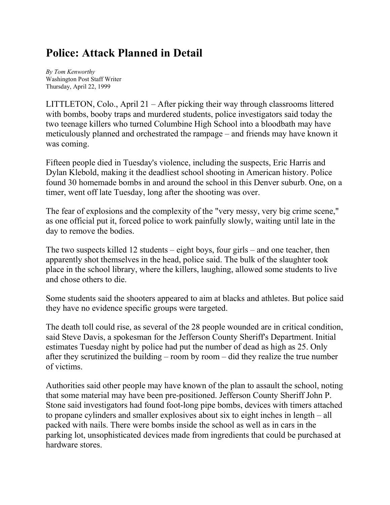## **Police: Attack Planned in Detail**

*By Tom Kenworthy* Washington Post Staff Writer Thursday, April 22, 1999

LITTLETON, Colo., April 21 – After picking their way through classrooms littered with bombs, booby traps and murdered students, police investigators said today the two teenage killers who turned Columbine High School into a bloodbath may have meticulously planned and orchestrated the rampage – and friends may have known it was coming.

Fifteen people died in Tuesday's violence, including the suspects, Eric Harris and Dylan Klebold, making it the deadliest school shooting in American history. Police found 30 homemade bombs in and around the school in this Denver suburb. One, on a timer, went off late Tuesday, long after the shooting was over.

The fear of explosions and the complexity of the "very messy, very big crime scene," as one official put it, forced police to work painfully slowly, waiting until late in the day to remove the bodies.

The two suspects killed 12 students – eight boys, four girls – and one teacher, then apparently shot themselves in the head, police said. The bulk of the slaughter took place in the school library, where the killers, laughing, allowed some students to live and chose others to die.

Some students said the shooters appeared to aim at blacks and athletes. But police said they have no evidence specific groups were targeted.

The death toll could rise, as several of the 28 people wounded are in critical condition, said Steve Davis, a spokesman for the Jefferson County Sheriff's Department. Initial estimates Tuesday night by police had put the number of dead as high as 25. Only after they scrutinized the building – room by room – did they realize the true number of victims.

Authorities said other people may have known of the plan to assault the school, noting that some material may have been pre-positioned. Jefferson County Sheriff John P. Stone said investigators had found foot-long pipe bombs, devices with timers attached to propane cylinders and smaller explosives about six to eight inches in length – all packed with nails. There were bombs inside the school as well as in cars in the parking lot, unsophisticated devices made from ingredients that could be purchased at hardware stores.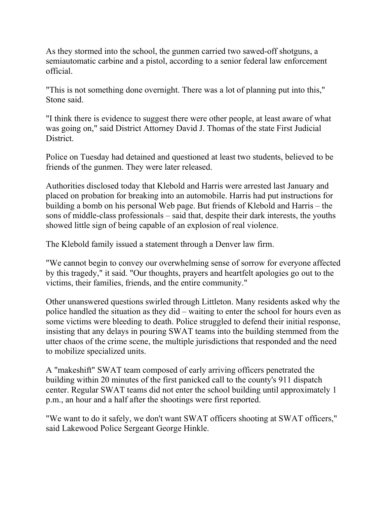As they stormed into the school, the gunmen carried two sawed-off shotguns, a semiautomatic carbine and a pistol, according to a senior federal law enforcement official.

"This is not something done overnight. There was a lot of planning put into this," Stone said.

"I think there is evidence to suggest there were other people, at least aware of what was going on," said District Attorney David J. Thomas of the state First Judicial District.

Police on Tuesday had detained and questioned at least two students, believed to be friends of the gunmen. They were later released.

Authorities disclosed today that Klebold and Harris were arrested last January and placed on probation for breaking into an automobile. Harris had put instructions for building a bomb on his personal Web page. But friends of Klebold and Harris – the sons of middle-class professionals – said that, despite their dark interests, the youths showed little sign of being capable of an explosion of real violence.

The Klebold family issued a statement through a Denver law firm.

"We cannot begin to convey our overwhelming sense of sorrow for everyone affected by this tragedy," it said. "Our thoughts, prayers and heartfelt apologies go out to the victims, their families, friends, and the entire community."

Other unanswered questions swirled through Littleton. Many residents asked why the police handled the situation as they did – waiting to enter the school for hours even as some victims were bleeding to death. Police struggled to defend their initial response, insisting that any delays in pouring SWAT teams into the building stemmed from the utter chaos of the crime scene, the multiple jurisdictions that responded and the need to mobilize specialized units.

A "makeshift" SWAT team composed of early arriving officers penetrated the building within 20 minutes of the first panicked call to the county's 911 dispatch center. Regular SWAT teams did not enter the school building until approximately 1 p.m., an hour and a half after the shootings were first reported.

"We want to do it safely, we don't want SWAT officers shooting at SWAT officers," said Lakewood Police Sergeant George Hinkle.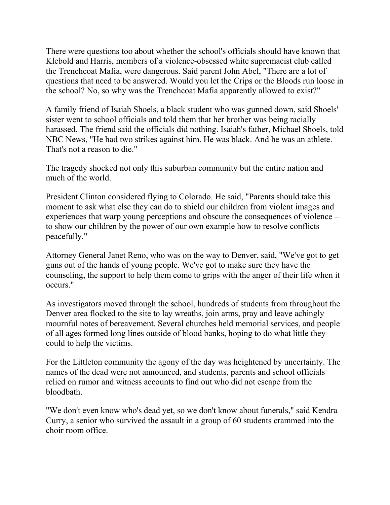There were questions too about whether the school's officials should have known that Klebold and Harris, members of a violence-obsessed white supremacist club called the Trenchcoat Mafia, were dangerous. Said parent John Abel, "There are a lot of questions that need to be answered. Would you let the Crips or the Bloods run loose in the school? No, so why was the Trenchcoat Mafia apparently allowed to exist?"

A family friend of Isaiah Shoels, a black student who was gunned down, said Shoels' sister went to school officials and told them that her brother was being racially harassed. The friend said the officials did nothing. Isaiah's father, Michael Shoels, told NBC News, "He had two strikes against him. He was black. And he was an athlete. That's not a reason to die."

The tragedy shocked not only this suburban community but the entire nation and much of the world.

President Clinton considered flying to Colorado. He said, "Parents should take this moment to ask what else they can do to shield our children from violent images and experiences that warp young perceptions and obscure the consequences of violence – to show our children by the power of our own example how to resolve conflicts peacefully."

Attorney General Janet Reno, who was on the way to Denver, said, "We've got to get guns out of the hands of young people. We've got to make sure they have the counseling, the support to help them come to grips with the anger of their life when it occurs."

As investigators moved through the school, hundreds of students from throughout the Denver area flocked to the site to lay wreaths, join arms, pray and leave achingly mournful notes of bereavement. Several churches held memorial services, and people of all ages formed long lines outside of blood banks, hoping to do what little they could to help the victims.

For the Littleton community the agony of the day was heightened by uncertainty. The names of the dead were not announced, and students, parents and school officials relied on rumor and witness accounts to find out who did not escape from the bloodbath.

"We don't even know who's dead yet, so we don't know about funerals," said Kendra Curry, a senior who survived the assault in a group of 60 students crammed into the choir room office.